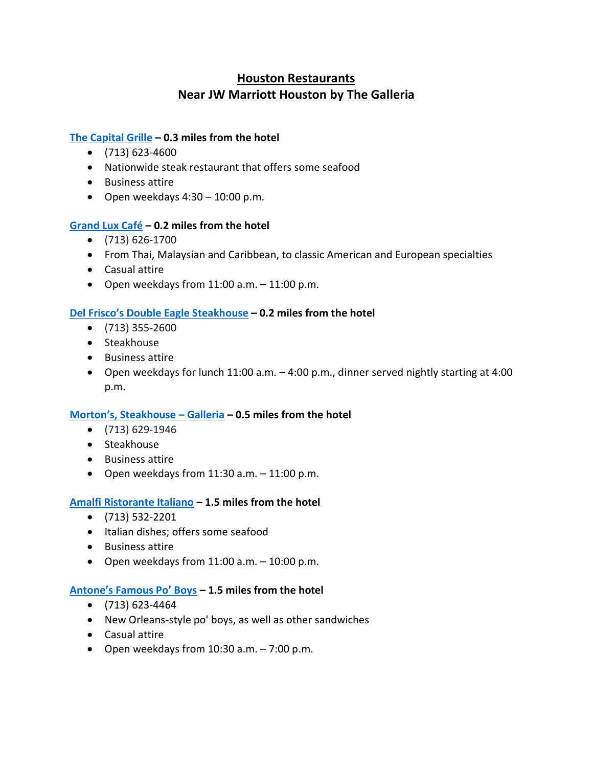# **Houston Restaurants Near JW Marriott Houston by The Galleria**

## **The [Capital Grille](http://www.thecapitalgrille.com/) – 0.3 miles from the hotel**

- $\bullet$  (713) 623-4600
- Nationwide steak restaurant that offers some seafood
- Business attire
- Open weekdays  $4:30 10:00$  p.m.

#### **[Grand Lux Café](http://www.grandluxcafe.com/) – 0.2 miles from the hotel**

- (713) 626-1700
- From Thai, Malaysian and Caribbean, to classic American and European specialties
- Casual attire
- Open weekdays from  $11:00$  a.m.  $-11:00$  p.m.

#### **[Del Frisco's Double Eagle Steak](https://delfriscos.com/steakhouse/houston/)house – 0.2 miles from the hotel**

- (713) 355-2600
- Steakhouse
- Business attire
- Open weekdays for lunch 11:00 a.m. 4:00 p.m., dinner served nightly starting at 4:00 p.m.

#### **[Morton's, Steakhouse –](http://www.mortons.com/) Galleria – 0.5 miles from the hotel**

- (713) 629-1946
- Steakhouse
- Business attire
- Open weekdays from  $11:30$  a.m.  $-11:00$  p.m.

#### **[Amalfi Ristorante Italiano](https://www.amalfihouston.com/) – 1.5 miles from the hotel**

- (713) 532-2201
- Italian dishes; offers some seafood
- Business attire
- Open weekdays from  $11:00$  a.m.  $-10:00$  p.m.

#### **[Antone's Famous Po' Boys](http://antones1962.com/) – 1.5 miles from the hotel**

- (713) 623-4464
- New Orleans-style po' boys, as well as other sandwiches
- Casual attire
- Open weekdays from  $10:30$  a.m.  $-7:00$  p.m.